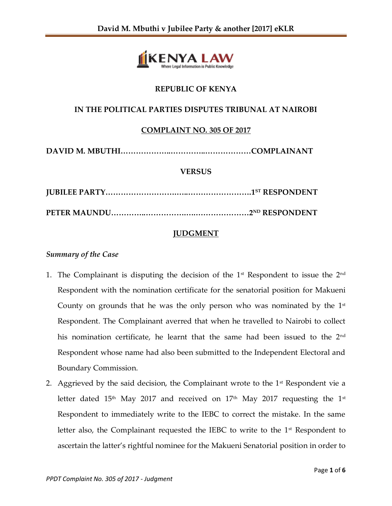

# **REPUBLIC OF KENYA**

## **IN THE POLITICAL PARTIES DISPUTES TRIBUNAL AT NAIROBI**

## **COMPLAINT NO. 305 OF 2017**

**DAVID M. MBUTHI………………..…………..………………COMPLAINANT**

### **VERSUS**

**JUBILEE PARTY……………………….…..…………………….1ST RESPONDENT PETER MAUNDU…………..…………….….…………………2ND RESPONDENT**

### **JUDGMENT**

#### *Summary of the Case*

- 1. The Complainant is disputing the decision of the  $1<sup>st</sup>$  Respondent to issue the  $2<sup>nd</sup>$ Respondent with the nomination certificate for the senatorial position for Makueni County on grounds that he was the only person who was nominated by the  $1<sup>st</sup>$ Respondent. The Complainant averred that when he travelled to Nairobi to collect his nomination certificate, he learnt that the same had been issued to the 2<sup>nd</sup> Respondent whose name had also been submitted to the Independent Electoral and Boundary Commission.
- 2. Aggrieved by the said decision, the Complainant wrote to the  $1<sup>st</sup>$  Respondent vie a letter dated 15<sup>th</sup> May 2017 and received on 17<sup>th</sup> May 2017 requesting the 1<sup>st</sup> Respondent to immediately write to the IEBC to correct the mistake. In the same letter also, the Complainant requested the IEBC to write to the  $1<sup>st</sup>$  Respondent to ascertain the latter's rightful nominee for the Makueni Senatorial position in order to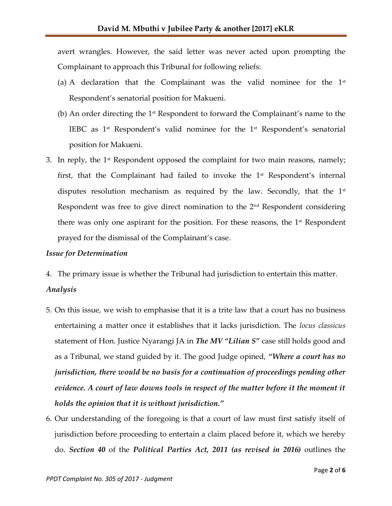avert wrangles. However, the said letter was never acted upon prompting the Complainant to approach this Tribunal for following reliefs:

- (a) A declaration that the Complainant was the valid nominee for the  $1<sup>st</sup>$ Respondent's senatorial position for Makueni.
- (b) An order directing the  $1<sup>st</sup>$  Respondent to forward the Complainant's name to the IEBC as  $1<sup>st</sup>$  Respondent's valid nominee for the  $1<sup>st</sup>$  Respondent's senatorial position for Makueni.
- 3. In reply, the  $1<sup>st</sup>$  Respondent opposed the complaint for two main reasons, namely; first, that the Complainant had failed to invoke the  $1<sup>st</sup>$  Respondent's internal disputes resolution mechanism as required by the law. Secondly, that the  $1<sup>st</sup>$ Respondent was free to give direct nomination to the 2<sup>nd</sup> Respondent considering there was only one aspirant for the position. For these reasons, the  $1<sup>st</sup>$  Respondent prayed for the dismissal of the Complainant's case.

### *Issue for Determination*

4. The primary issue is whether the Tribunal had jurisdiction to entertain this matter. *Analysis*

- 5. On this issue, we wish to emphasise that it is a trite law that a court has no business entertaining a matter once it establishes that it lacks jurisdiction. The *locus classicus* statement of Hon. Justice Nyarangi JA in *The MV "Lilian S"* case still holds good and as a Tribunal, we stand guided by it. The good Judge opined, *"Where a court has no jurisdiction, there would be no basis for a continuation of proceedings pending other evidence. A court of law downs tools in respect of the matter before it the moment it holds the opinion that it is without jurisdiction."*
- 6. Our understanding of the foregoing is that a court of law must first satisfy itself of jurisdiction before proceeding to entertain a claim placed before it, which we hereby do. *Section 40* of the *Political Parties Act, 2011 (as revised in 2016)* outlines the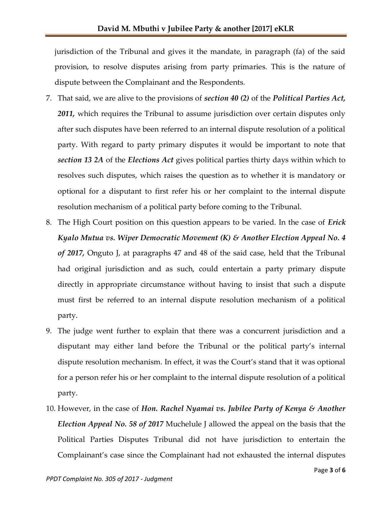jurisdiction of the Tribunal and gives it the mandate, in paragraph (fa) of the said provision, to resolve disputes arising from party primaries. This is the nature of dispute between the Complainant and the Respondents.

- 7. That said, we are alive to the provisions of *section 40 (2)* of the *Political Parties Act, 2011,* which requires the Tribunal to assume jurisdiction over certain disputes only after such disputes have been referred to an internal dispute resolution of a political party. With regard to party primary disputes it would be important to note that *section 13 2A* of the *Elections Act* gives political parties thirty days within which to resolves such disputes, which raises the question as to whether it is mandatory or optional for a disputant to first refer his or her complaint to the internal dispute resolution mechanism of a political party before coming to the Tribunal.
- 8. The High Court position on this question appears to be varied. In the case of *Erick Kyalo Mutua vs. Wiper Democratic Movement (K) & Another Election Appeal No. 4 of 2017,* Onguto J, at paragraphs 47 and 48 of the said case, held that the Tribunal had original jurisdiction and as such, could entertain a party primary dispute directly in appropriate circumstance without having to insist that such a dispute must first be referred to an internal dispute resolution mechanism of a political party.
- 9. The judge went further to explain that there was a concurrent jurisdiction and a disputant may either land before the Tribunal or the political party's internal dispute resolution mechanism. In effect, it was the Court's stand that it was optional for a person refer his or her complaint to the internal dispute resolution of a political party.
- 10. However, in the case of *Hon. Rachel Nyamai vs. Jubilee Party of Kenya & Another Election Appeal No. 58 of 2017* Muchelule J allowed the appeal on the basis that the Political Parties Disputes Tribunal did not have jurisdiction to entertain the Complainant's case since the Complainant had not exhausted the internal disputes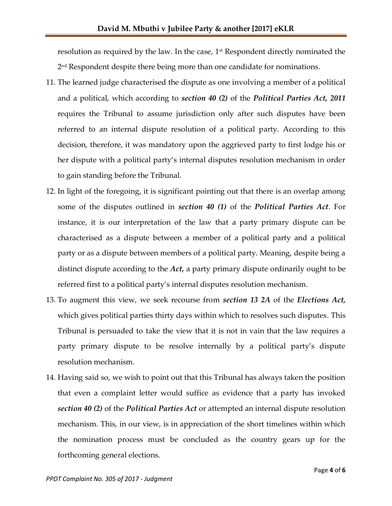resolution as required by the law. In the case,  $1<sup>st</sup>$  Respondent directly nominated the 2 nd Respondent despite there being more than one candidate for nominations.

- 11. The learned judge characterised the dispute as one involving a member of a political and a political, which according to *section 40 (2)* of the *Political Parties Act, 2011* requires the Tribunal to assume jurisdiction only after such disputes have been referred to an internal dispute resolution of a political party. According to this decision, therefore, it was mandatory upon the aggrieved party to first lodge his or her dispute with a political party's internal disputes resolution mechanism in order to gain standing before the Tribunal.
- 12. In light of the foregoing, it is significant pointing out that there is an overlap among some of the disputes outlined in *section 40 (1)* of the *Political Parties Act*. For instance, it is our interpretation of the law that a party primary dispute can be characterised as a dispute between a member of a political party and a political party or as a dispute between members of a political party. Meaning, despite being a distinct dispute according to the *Act,* a party primary dispute ordinarily ought to be referred first to a political party's internal disputes resolution mechanism.
- 13. To augment this view, we seek recourse from *section 13 2A* of the *Elections Act,*  which gives political parties thirty days within which to resolves such disputes. This Tribunal is persuaded to take the view that it is not in vain that the law requires a party primary dispute to be resolve internally by a political party's dispute resolution mechanism.
- 14. Having said so, we wish to point out that this Tribunal has always taken the position that even a complaint letter would suffice as evidence that a party has invoked *section 40 (2)* of the *Political Parties Act* or attempted an internal dispute resolution mechanism. This, in our view, is in appreciation of the short timelines within which the nomination process must be concluded as the country gears up for the forthcoming general elections.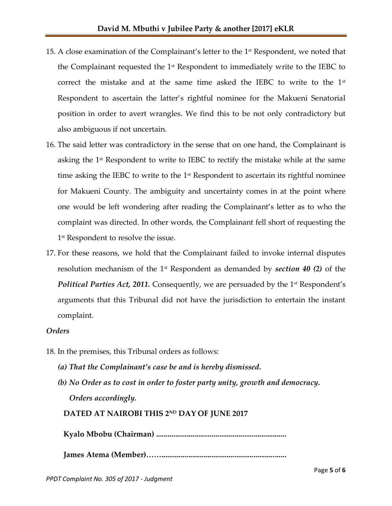- 15. A close examination of the Complainant's letter to the  $1<sup>st</sup>$  Respondent, we noted that the Complainant requested the  $1<sup>st</sup>$  Respondent to immediately write to the IEBC to correct the mistake and at the same time asked the IEBC to write to the  $1<sup>st</sup>$ Respondent to ascertain the latter's rightful nominee for the Makueni Senatorial position in order to avert wrangles. We find this to be not only contradictory but also ambiguous if not uncertain.
- 16. The said letter was contradictory in the sense that on one hand, the Complainant is asking the 1<sup>st</sup> Respondent to write to IEBC to rectify the mistake while at the same time asking the IEBC to write to the  $1<sup>st</sup>$  Respondent to ascertain its rightful nominee for Makueni County. The ambiguity and uncertainty comes in at the point where one would be left wondering after reading the Complainant's letter as to who the complaint was directed. In other words, the Complainant fell short of requesting the 1 st Respondent to resolve the issue.
- 17. For these reasons, we hold that the Complainant failed to invoke internal disputes resolution mechanism of the 1st Respondent as demanded by *section 40 (2)* of the *Political Parties Act, 2011.* Consequently, we are persuaded by the 1<sup>st</sup> Respondent's arguments that this Tribunal did not have the jurisdiction to entertain the instant complaint.

### *Orders*

- 18. In the premises, this Tribunal orders as follows:
	- *(a) That the Complainant's case be and is hereby dismissed.*
	- *(b) No Order as to cost in order to foster party unity, growth and democracy. Orders accordingly.*

## **DATED AT NAIROBI THIS 2ND DAY OF JUNE 2017**

 **Kyalo Mbobu (Chairman) ....................................................................**

 **James Atema (Member)…….................................................................**